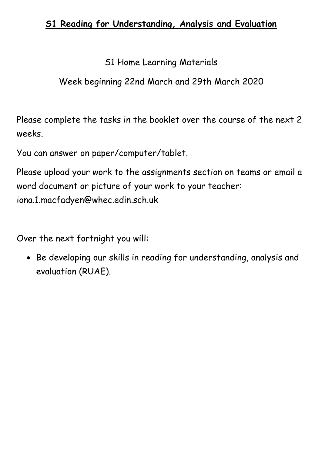# **S1 Reading for Understanding, Analysis and Evaluation**

S1 Home Learning Materials

Week beginning 22nd March and 29th March 2020

Please complete the tasks in the booklet over the course of the next 2 weeks.

You can answer on paper/computer/tablet.

Please upload your work to the assignments section on teams or email a word document or picture of your work to your teacher: iona.1.macfadyen@whec.edin.sch.uk

Over the next fortnight you will:

• Be developing our skills in reading for understanding, analysis and evaluation (RUAE).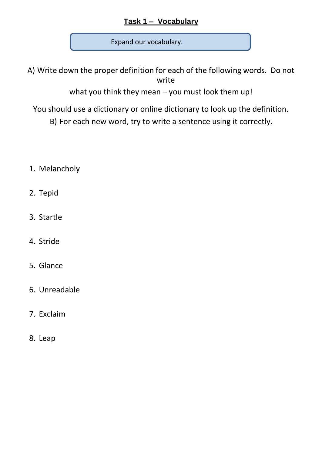# **Task 1 – Vocabulary**

Expand our vocabulary.

A) Write down the proper definition for each of the following words. Do not write

what you think they mean – you must look them up!

You should use a dictionary or online dictionary to look up the definition.

B) For each new word, try to write a sentence using it correctly.

- 1. Melancholy
- 2. Tepid
- 3. Startle
- 4. Stride
- 5. Glance
- 6. Unreadable
- 7. Exclaim
- 8. Leap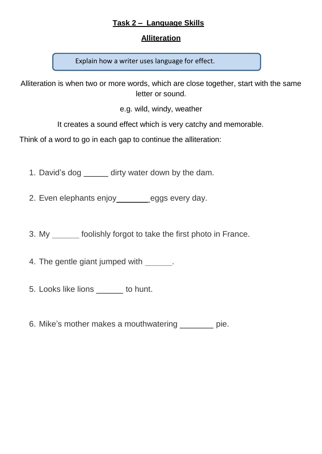#### **Task 2 – Language Skills**

#### **Alliteration**

Explain how a writer uses language for effect.

Alliteration is when two or more words, which are close together, start with the same letter or sound.

e.g. wild, windy, weather

It creates a sound effect which is very catchy and memorable.

Think of a word to go in each gap to continue the alliteration:

1. David's dog \_\_\_\_\_\_ dirty water down by the dam.

2. Even elephants enjoy\_\_\_\_\_\_\_eggs every day.

3. My \_\_\_\_\_\_ foolishly forgot to take the first photo in France.

4. The gentle giant jumped with  $\qquad \qquad$ .

- 5. Looks like lions \_\_\_\_\_\_ to hunt.
- 6. Mike's mother makes a mouthwatering pie.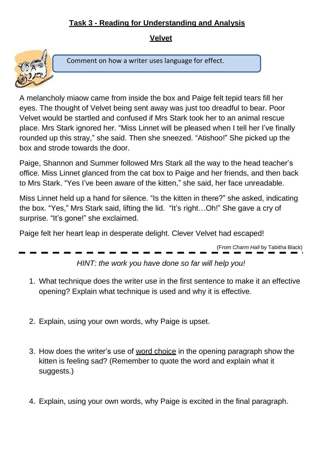# **Task 3 - Reading for Understanding and Analysis**

#### **Velvet**



Comment on how a writer uses language for effect.

A melancholy miaow came from inside the box and Paige felt tepid tears fill her eyes. The thought of Velvet being sent away was just too dreadful to bear. Poor Velvet would be startled and confused if Mrs Stark took her to an animal rescue place. Mrs Stark ignored her. "Miss Linnet will be pleased when I tell her I've finally rounded up this stray," she said. Then she sneezed. "Atishoo!" She picked up the box and strode towards the door.

Paige, Shannon and Summer followed Mrs Stark all the way to the head teacher's office. Miss Linnet glanced from the cat box to Paige and her friends, and then back to Mrs Stark. "Yes I've been aware of the kitten," she said, her face unreadable.

Miss Linnet held up a hand for silence. "Is the kitten in there?" she asked, indicating the box. "Yes," Mrs Stark said, lifting the lid. "It's right…Oh!" She gave a cry of surprise. "It's gone!" she exclaimed.

Paige felt her heart leap in desperate delight. Clever Velvet had escaped!

(From *Charm Hall* by Tabitha Black)

*HINT: the work you have done so far will help you!*

- 1. What technique does the writer use in the first sentence to make it an effective opening? Explain what technique is used and why it is effective.
- 2. Explain, using your own words, why Paige is upset.
- 3. How does the writer's use of word choice in the opening paragraph show the kitten is feeling sad? (Remember to quote the word and explain what it suggests.)
- 4. Explain, using your own words, why Paige is excited in the final paragraph.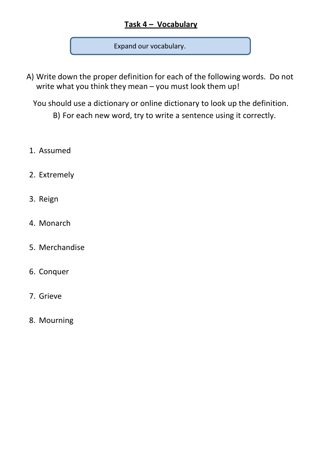# **Task 4 – Vocabulary**

Expand our vocabulary.

A) Write down the proper definition for each of the following words. Do not write what you think they mean – you must look them up!

You should use a dictionary or online dictionary to look up the definition.

B) For each new word, try to write a sentence using it correctly.

- 1. Assumed
- 2. Extremely
- 3. Reign
- 4. Monarch
- 5. Merchandise
- 6. Conquer
- 7. Grieve
- 8. Mourning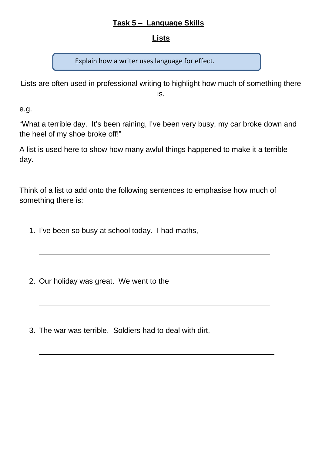#### **Task 5 – Language Skills**

#### **Lists**

Explain how a writer uses language for effect.

Lists are often used in professional writing to highlight how much of something there is.

e.g.

"What a terrible day. It's been raining, I've been very busy, my car broke down and the heel of my shoe broke off!"

A list is used here to show how many awful things happened to make it a terrible day.

Think of a list to add onto the following sentences to emphasise how much of something there is:

1. I've been so busy at school today. I had maths,

2. Our holiday was great. We went to the

3. The war was terrible. Soldiers had to deal with dirt,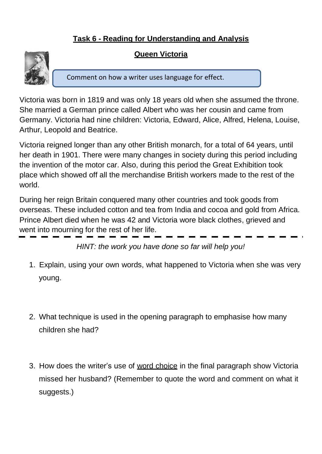# **Task 6 - Reading for Understanding and Analysis**

### **Queen Victoria**



Comment on how a writer uses language for effect.

Victoria was born in 1819 and was only 18 years old when she assumed the throne. She married a German prince called Albert who was her cousin and came from Germany. Victoria had nine children: Victoria, Edward, Alice, Alfred, Helena, Louise, Arthur, Leopold and Beatrice.

Victoria reigned longer than any other British monarch, for a total of 64 years, until her death in 1901. There were many changes in society during this period including the invention of the motor car. Also, during this period the Great Exhibition took place which showed off all the merchandise British workers made to the rest of the world.

During her reign Britain conquered many other countries and took goods from overseas. These included cotton and tea from India and cocoa and gold from Africa. Prince Albert died when he was 42 and Victoria wore black clothes, grieved and went into mourning for the rest of her life.

*HINT: the work you have done so far will help you!*

- 1. Explain, using your own words, what happened to Victoria when she was very young.
- 2. What technique is used in the opening paragraph to emphasise how many children she had?
- 3. How does the writer's use of word choice in the final paragraph show Victoria missed her husband? (Remember to quote the word and comment on what it suggests.)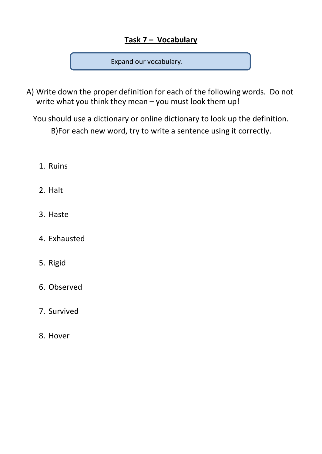# **Task 7 – Vocabulary**

Expand our vocabulary.

- A) Write down the proper definition for each of the following words. Do not write what you think they mean – you must look them up!
	- You should use a dictionary or online dictionary to look up the definition. B)For each new word, try to write a sentence using it correctly.
		- 1. Ruins
		- 2. Halt
		- 3. Haste
		- 4. Exhausted
		- 5. Rigid
		- 6. Observed
		- 7. Survived
		- 8. Hover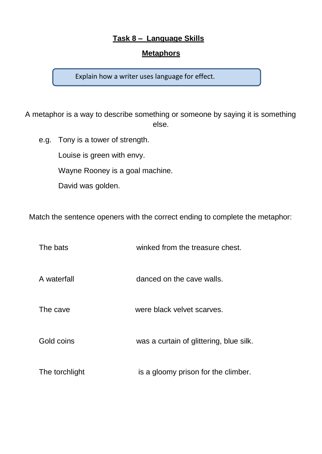#### **Task 8 – Language Skills**

#### **Metaphors**

Explain how a writer uses language for effect.

A metaphor is a way to describe something or someone by saying it is something else.

e.g. Tony is a tower of strength.

Louise is green with envy.

Wayne Rooney is a goal machine.

David was golden.

Match the sentence openers with the correct ending to complete the metaphor:

| The bats | winked from the treasure chest. |
|----------|---------------------------------|
|          |                                 |

A waterfall danced on the cave walls.

The cave were black velvet scarves.

Gold coins was a curtain of glittering, blue silk.

The torchlight is a gloomy prison for the climber.